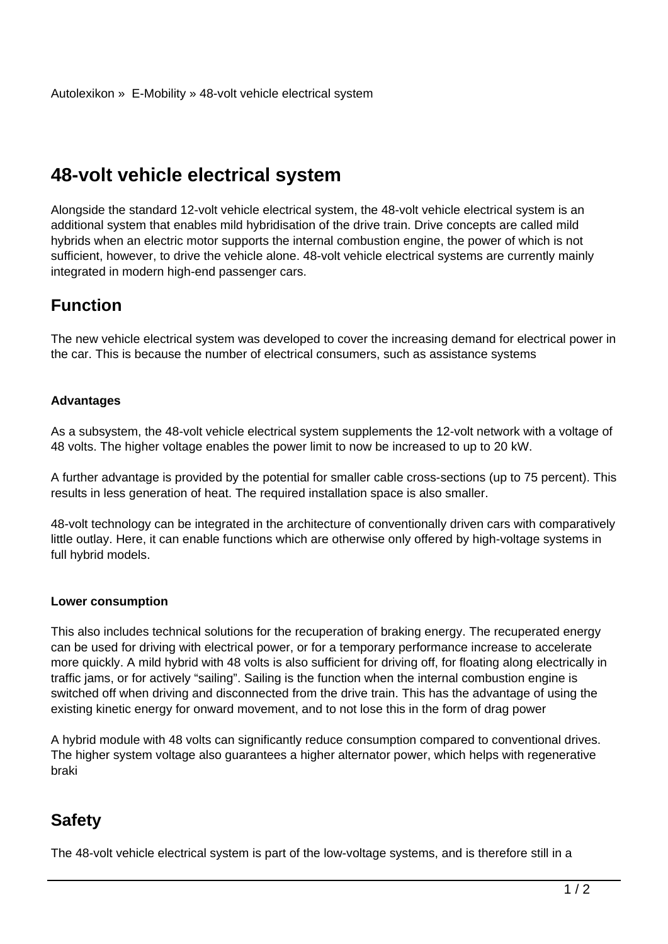# **48-volt vehicle electrical system**

Alongside the standard 12-volt vehicle electrical system, the 48-volt vehicle electrical system is an additional system that enables mild hybridisation of the drive train. Drive concepts are called mild hybrids when an electric motor supports the internal combustion engine, the power of which is not sufficient, however, to drive the vehicle alone. 48-volt vehicle electrical systems are currently mainly integrated in modern high-end passenger cars.

### **Function**

The new vehicle electrical system was developed to cover the increasing demand for electrical power in the car. This is because the number of electrical consumers, such as assistance systems

#### **Advantages**

As a subsystem, the 48-volt vehicle electrical system supplements the 12-volt network with a voltage of 48 volts. The higher voltage enables the power limit to now be increased to up to 20 kW.

A further advantage is provided by the potential for smaller cable cross-sections (up to 75 percent). This results in less generation of heat. The required installation space is also smaller.

48-volt technology can be integrated in the architecture of conventionally driven cars with comparatively little outlay. Here, it can enable functions which are otherwise only offered by high-voltage systems in full hybrid models.

#### **Lower consumption**

This also includes technical solutions for the recuperation of braking energy. The recuperated energy can be used for driving with electrical power, or for a temporary performance increase to accelerate more quickly. A mild hybrid with 48 volts is also sufficient for driving off, for floating along electrically in traffic jams, or for actively "sailing". Sailing is the function when the internal combustion engine is switched off when driving and disconnected from the drive train. This has the advantage of using the existing kinetic energy for onward movement, and to not lose this in the form of drag power

A hybrid module with 48 volts can significantly reduce consumption compared to conventional drives. The higher system voltage also guarantees a higher alternator power, which helps with regenerative braki

## **Safety**

The 48-volt vehicle electrical system is part of the low-voltage systems, and is therefore still in a